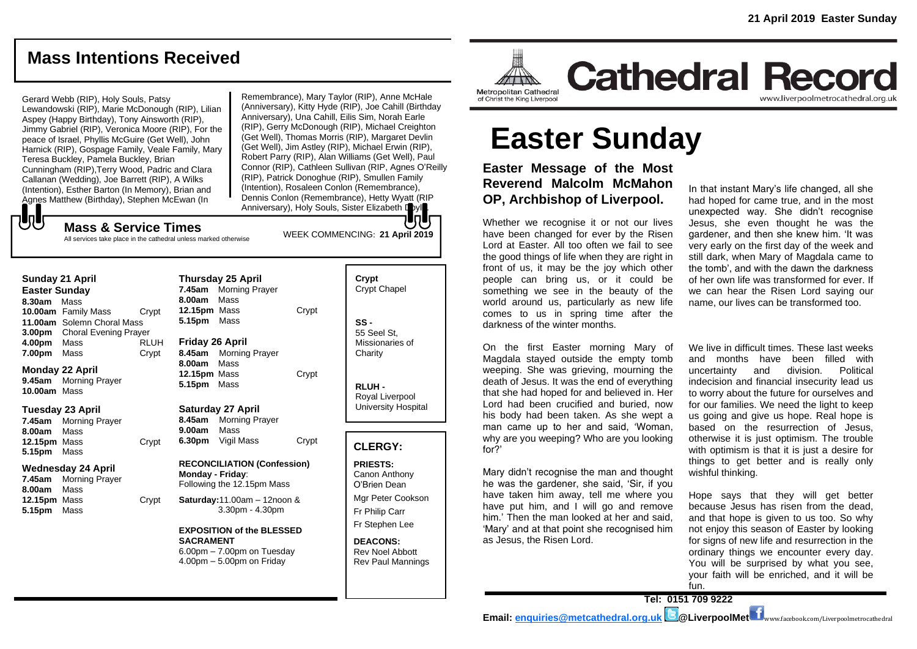## **Mass Intentions Received**

## Gerard Webb (RIP), Holy Souls, Patsy

Lewandowski (RIP), Marie McDonough (RIP), Lilian Aspey (Happy Birthday), Tony Ainsworth (RIP), Jimmy Gabriel (RIP), Veronica Moore (RIP), For the peace of Israel, Phyllis McGuire (Get Well), John Harnick (RIP), Gospage Family, Veale Family, Mary Teresa Buckley, Pamela Buckley, Brian Cunningham (RIP),Terry Wood, Padric and Clara Callanan (Wedding), Joe Barrett (RIP), A Wilks (Intention), Esther Barton (In Memory), Brian and Agnes Matthew (Birthday), Stephen McEwan (In

Remembrance), Mary Taylor (RIP), Anne McHale (Anniversary), Kitty Hyde (RIP), Joe Cahill (Birthday Anniversary), Una Cahill, Eilis Sim, Norah Earle (RIP), Gerry McDonough (RIP), Michael Creighton (Get Well), Thomas Morris (RIP), Margaret Devlin (Get Well), Jim Astley (RIP), Michael Erwin (RIP), Robert Parry (RIP), Alan Williams (Get Well), Paul Connor (RIP), Cathleen Sullivan (RIP, Agnes O'Reilly (RIP), Patrick Donoghue (RIP), Smullen Family (Intention), Rosaleen Conlon (Remembrance), Dennis Conlon (Remembrance), Hetty Wyatt (RIP Anniversary), Holy Souls, Sister Elizabeth Doyl

WEEK COMMENCING: **21 April 2019**

**Mass & Service Times** All services take place in the cathedral unless marked otherwise

#### **Sunday 21 April**

もし

**Easter Sunday 8.30am** Mass **10.00am** Family Mass Crypt **11.00am** Solemn Choral Mass **3.00pm** Choral Evening Prayer **4.00pm** Mass RLUH **7.00pm** Mass Crypt

#### **Monday 22 April 9.45am** Morning Prayer **10.00am** Mass

#### **Tuesday 23 April**

**7.45am** Morning Prayer **8.00am** Mass **12.15pm** Mass Crypt **5.15pm** Mass

#### **Wednesday 24 April**

**7.45am** Morning Prayer **8.00am** Mass **12.15pm** Mass Crypt **5.15pm** Mass

## **7.45am** Morning Prayer **8.00am** Mass **12.15pm** Mass Crypt **5.15pm** Mass **Friday 26 April 8.45am** Morning Prayer **8.00am** Mass **12.15pm** Mass Crypt **5.15pm** Mass **Saturday 27 April 8.45am** Morning Prayer **9.00am** Mass **6.30pm** Vigil Mass Crypt **RECONCILIATION (Confession)**

**Thursday 25 April**

**Monday - Friday**: Following the 12.15pm Mass

**Saturday:**11.00am – 12noon & 3.30pm - 4.30pm

#### **EXPOSITION of the BLESSED SACRAMENT** 6.00pm – 7.00pm on Tuesday 4.00pm – 5.00pm on Friday

**Crypt**  Crypt Chapel **SS -** 55 Seel St, Missionaries of **Charity** 

**RLUH -** Royal Liverpool University Hospital

### **CLERGY:**

**PRIESTS:** Canon Anthony O'Brien *Dean*

Mgr Peter Cookson Fr Philip Carr Fr Stephen Lee

**DEACONS:** Rev Noel Abbott Rev Paul Mannings



**Cathedral Record** www.liverpoolmetrocathedral.org.uk

# **Easter Sunday**

**Easter Message of the Most Reverend Malcolm McMahon** In the tinst and Mary's life change **OP, Archbishop of Liverpool. Archbishop of Liverpool.** 

Whether we recognise it or not our lives have been changed for ever by the Risen gardener, and then she knew him. 'It was Lord at Easter. All too often we fail to see Lord at Easter. All too often we fall to see boery early on the first day of the world be all the world be some<br>the good things of life when they are right in build dark, when Mary of Magdala o front of us, it may be the joy which other the tomb', and with the dawn the darkness people can bring us, or it could be something we see in the beauty of the world around us, particularly as new life wond around us, panicularly as new life and hame, our lives can be transformed too.<br>comes to us in spring time after the darkness of the winter months.

On the first Easter morning Mary of We live in difficult times. These last weeks Magdala stayed outside the empty tomb waguala stayed outside the empty tomb and months have been miled with<br>weeping. She was grieving, mourning the uncertainty and division. Political death of Jesus. It was the end of everything indecision and financial insecurity lead us that she had hoped for and believed in. Her Lord had been crucified and buried, now for our his body had been taken. As she wept a man came up to her and said, 'Woman, why are you weeping? Who are you looking for?' at she had hoped for and believed in. Her to worry about the future for ourselves and

he was the gardener, she said, 'Sir, if you which allows of heart the was the gardener, she said, 'Sir, if you have taken him away, tell me where you Hope says that they v have put him, and I will go and remove him.' Then the man looked at her and said, The time that hooked at the and said, and that hope is given to us too. So wiff<br>'Mary' and at that point she recognised him not enjoy this season of Easter by looking as Jesus, the Risen Lord.

In that instant Mary's life changed, all she had hoped for came true, and in the most If **An undership or Erver poor.** Thad hoped for came thee, and in the most it or not our lives have the structure hether we recognise it or not our lives Jesus, she even thought he was the gardener, and then she knew him. 'It was very early on the first day of the week and still dark, when Mary of Magdala came to the tomb', and with the dawn the darkness of her own life was transformed for ever. If omething we see in the beauty of the we can hear the Risen Lord saying our name, our lives can be transformed too.

things to get better and is really only<br>Mary didn't recognise the man and thought wishful thinking. We live in difficult times. These last weeks and months have been filled with uncertainty and division. Political indecision and financial insecurity lead us for our families. We need the light to keep us going and give us hope. Real hope is based on the result instant in the since wept all use going and give us nope. Near hope is an example is hy are you weeping? Who are you looking cotherwise it is just optimism. The trouble in the with optimism is that it is just a desire for  $\frac{1}{2}$  with optimism is that it is just a desire for things to get better and is really only wishful thinking.

Hope says that they will get better ave put him, and I will go and remove because Jesus has risen from the dead, and that hope is given to us too. So why not enjoy this season of Easter by looking for signs of new life and resurrection in the subset of  $\frac{1}{2}$  subsets, the Risen Lord. The for signs of new life and resurrection in the ordinary things we encounter every day. You will be surprised by what you see,<br>Soon faith will be expirited and it will be your faith will be enriched, and it will be fun.  $\frac{1}{2}$  you take will be enforced, and it will be

that they will get better because Jesus has risen from the dead, and that hope is **Tel: 0151 709 9222** 

 $\mathbf{g}$  is a so which is searched to us to  $\mathbf{g}$  is season of  $\mathbf{g}$ **Email: <u>enquiries@metcathedral.org.uk</u> | stepsed WerpoolMet www.facebook.com/Liverpoolmetrocathedral</u>**